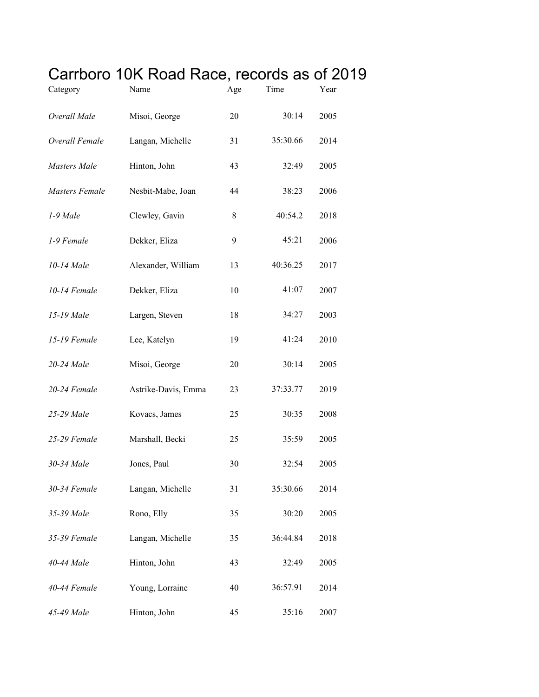## Carrboro 10K Road Race, records as of 2019

| Category              | Name                | Age | Time     | Year |
|-----------------------|---------------------|-----|----------|------|
| Overall Male          | Misoi, George       | 20  | 30:14    | 2005 |
| Overall Female        | Langan, Michelle    | 31  | 35:30.66 | 2014 |
| Masters Male          | Hinton, John        | 43  | 32:49    | 2005 |
| <b>Masters Female</b> | Nesbit-Mabe, Joan   | 44  | 38:23    | 2006 |
| 1-9 Male              | Clewley, Gavin      | 8   | 40:54.2  | 2018 |
| 1-9 Female            | Dekker, Eliza       | 9   | 45:21    | 2006 |
| 10-14 Male            | Alexander, William  | 13  | 40:36.25 | 2017 |
| 10-14 Female          | Dekker, Eliza       | 10  | 41:07    | 2007 |
| 15-19 Male            | Largen, Steven      | 18  | 34:27    | 2003 |
| 15-19 Female          | Lee, Katelyn        | 19  | 41:24    | 2010 |
| 20-24 Male            | Misoi, George       | 20  | 30:14    | 2005 |
| 20-24 Female          | Astrike-Davis, Emma | 23  | 37:33.77 | 2019 |
| 25-29 Male            | Kovacs, James       | 25  | 30:35    | 2008 |
| 25-29 Female          | Marshall, Becki     | 25  | 35:59    | 2005 |
| 30-34 Male            | Jones, Paul         | 30  | 32:54    | 2005 |
| 30-34 Female          | Langan, Michelle    | 31  | 35:30.66 | 2014 |
| 35-39 Male            | Rono, Elly          | 35  | 30:20    | 2005 |
| 35-39 Female          | Langan, Michelle    | 35  | 36:44.84 | 2018 |
| 40-44 Male            | Hinton, John        | 43  | 32:49    | 2005 |
| 40-44 Female          | Young, Lorraine     | 40  | 36:57.91 | 2014 |
| 45-49 Male            | Hinton, John        | 45  | 35:16    | 2007 |